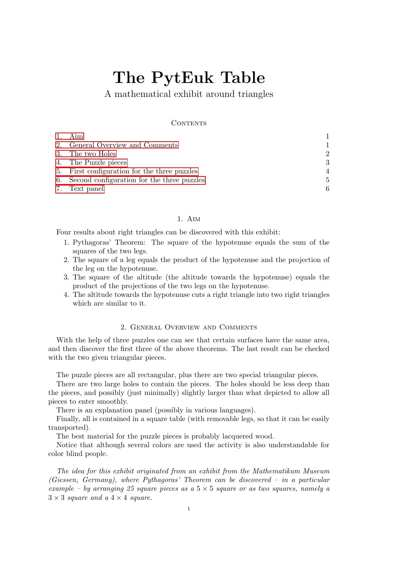# The PytEuk Table

A mathematical exhibit around triangles

#### CONTENTS

| 1. Aim                                        |                |
|-----------------------------------------------|----------------|
| 2. General Overview and Comments              | 1              |
| 3. The two Holes                              | $\mathcal{D}$  |
| 4. The Puzzle pieces                          | 3              |
| 5. First configuration for the three puzzles  | $\overline{4}$ |
| 6. Second configuration for the three puzzles | .5             |
| 7. Text panel                                 |                |

## 1. Aim

<span id="page-0-0"></span>Four results about right triangles can be discovered with this exhibit:

- 1. Pythagoras' Theorem: The square of the hypotenuse equals the sum of the squares of the two legs.
- 2. The square of a leg equals the product of the hypotenuse and the projection of the leg on the hypotenuse.
- 3. The square of the altitude (the altitude towards the hypotenuse) equals the product of the projections of the two legs on the hypotenuse.
- 4. The altitude towards the hypotenuse cuts a right triangle into two right triangles which are similar to it.

#### 2. General Overview and Comments

<span id="page-0-1"></span>With the help of three puzzles one can see that certain surfaces have the same area, and then discover the first three of the above theorems. The last result can be checked with the two given triangular pieces.

The puzzle pieces are all rectangular, plus there are two special triangular pieces.

There are two large holes to contain the pieces. The holes should be less deep than the pieces, and possibly (just minimally) slightly larger than what depicted to allow all pieces to enter smoothly.

There is an explanation panel (possibly in various languages).

Finally, all is contained in a square table (with removable legs, so that it can be easily transported).

The best material for the puzzle pieces is probably lacquered wood.

Notice that although several colors are used the activity is also understandable for color blind people.

The idea for this exhibit originated from an exhibit from the Mathematikum Museum (Giessen, Germany), where Pythagoras' Theorem can be discovered – in a particular example – by arranging 25 square pieces as a  $5 \times 5$  square or as two squares, namely a  $3 \times 3$  square and a  $4 \times 4$  square.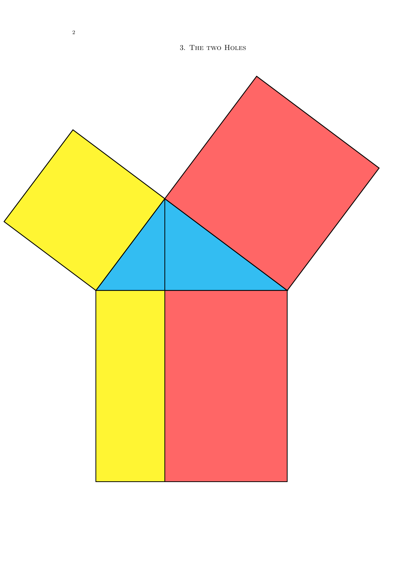<span id="page-1-0"></span>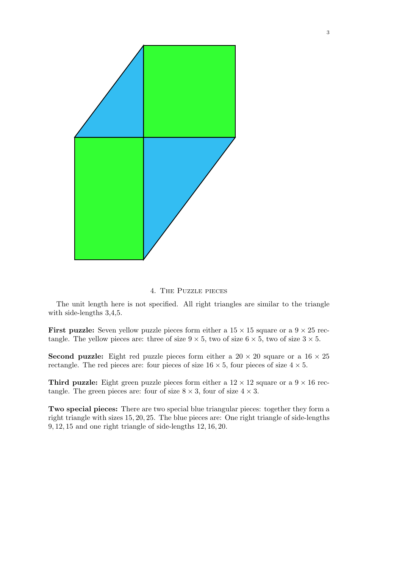

#### 4. The Puzzle pieces

<span id="page-2-0"></span>The unit length here is not specified. All right triangles are similar to the triangle with side-lengths 3,4,5.

**First puzzle:** Seven yellow puzzle pieces form either a  $15 \times 15$  square or a  $9 \times 25$  rectangle. The yellow pieces are: three of size  $9 \times 5$ , two of size  $6 \times 5$ , two of size  $3 \times 5$ .

**Second puzzle:** Eight red puzzle pieces form either a  $20 \times 20$  square or a  $16 \times 25$ rectangle. The red pieces are: four pieces of size  $16 \times 5$ , four pieces of size  $4 \times 5$ .

Third puzzle: Eight green puzzle pieces form either a  $12 \times 12$  square or a  $9 \times 16$  rectangle. The green pieces are: four of size  $8 \times 3$ , four of size  $4 \times 3$ .

Two special pieces: There are two special blue triangular pieces: together they form a right triangle with sizes 15, 20, 25. The blue pieces are: One right triangle of side-lengths 9, 12, 15 and one right triangle of side-lengths 12, 16, 20.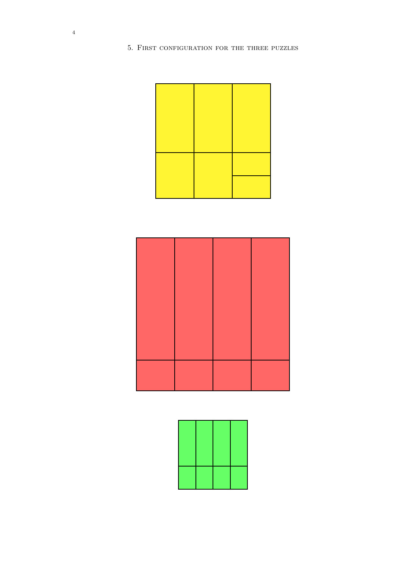<span id="page-3-0"></span>5. First configuration for the three puzzles





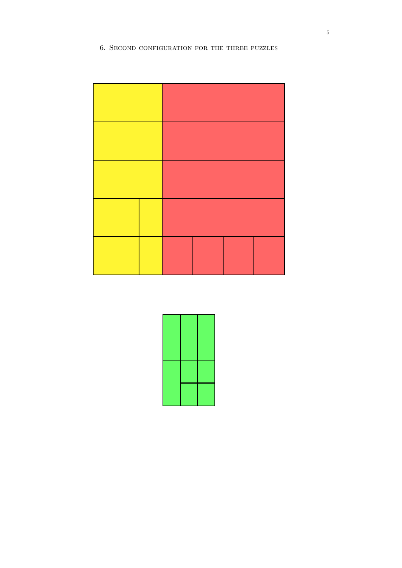## <span id="page-4-0"></span>6. Second configuration for the three puzzles